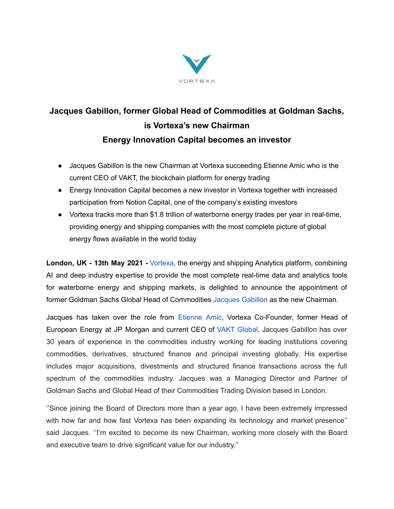

## **Jacques Gabillon, former Global Head of Commodities at Goldman Sachs, is Vortexa's new Chairman Energy Innovation Capital becomes an investor**

- Jacques Gabillon is the new Chairman at Vortexa succeeding Etienne Amic who is the current CEO of VAKT, the blockchain platform for energy trading
- Energy Innovation Capital becomes a new investor in Vortexa together with increased participation from Notion Capital, one of the company's existing investors
- Vortexa tracks more than \$1.8 trillion of waterborne energy trades per year in real-time, providing energy and shipping companies with the most complete picture of global energy flows available in the world today

**London, UK - 13th May 2021 -** [Vortexa](https://www.vortexa.com/), the energy and shipping Analytics platform, combining AI and deep industry expertise to provide the most complete real-time data and analytics tools for waterborne energy and shipping markets, is delighted to announce the appointment of former Goldman Sachs Global Head of Commodities [Jacques](https://www.linkedin.com/in/jacques-gabillon-91a39625/?originalSubdomain=uk) Gabillon as the new Chairman.

Jacques has taken over the role from [Etienne](https://www.linkedin.com/in/etienneamic/?originalSubdomain=fr) Amic, Vortexa Co-Founder, former Head of European Energy at JP Morgan and current CEO of VAKT [Global.](https://www.vakt.com/) Jacques Gabillon has over 30 years of experience in the commodities industry working for leading institutions covering commodities, derivatives, structured finance and principal investing globally. His expertise includes major acquisitions, divestments and structured finance transactions across the full spectrum of the commodities industry. Jacques was a Managing Director and Partner of Goldman Sachs and Global Head of their Commodities Trading Division based in London.

''Since joining the Board of Directors more than a year ago, I have been extremely impressed with how far and how fast Vortexa has been expanding its technology and market presence'' said Jacques. ''I'm excited to become its new Chairman, working more closely with the Board and executive team to drive significant value for our industry.''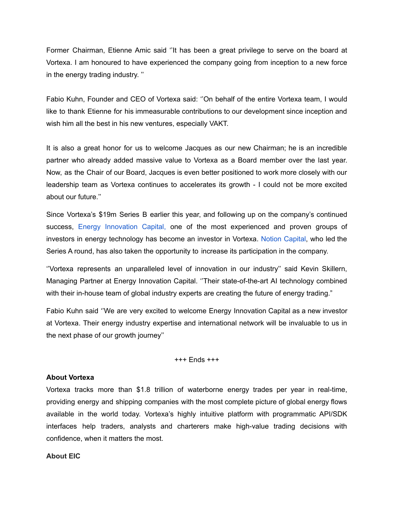Former Chairman, Etienne Amic said ''It has been a great privilege to serve on the board at Vortexa. I am honoured to have experienced the company going from inception to a new force in the energy trading industry. ''

Fabio Kuhn, Founder and CEO of Vortexa said: ''On behalf of the entire Vortexa team, I would like to thank Etienne for his immeasurable contributions to our development since inception and wish him all the best in his new ventures, especially VAKT.

It is also a great honor for us to welcome Jacques as our new Chairman; he is an incredible partner who already added massive value to Vortexa as a Board member over the last year. Now, as the Chair of our Board, Jacques is even better positioned to work more closely with our leadership team as Vortexa continues to accelerates its growth - I could not be more excited about our future.''

Since Vortexa's \$19m Series B earlier this year, and following up on the company's continued success, Energy [Innovation](https://energyinnovationcapital.com/) Capital, one of the most experienced and proven groups of investors in energy technology has become an investor in Vortexa. Notion [Capital,](https://notion.vc/) who led the Series A round, has also taken the opportunity to increase its participation in the company.

''Vortexa represents an unparalleled level of innovation in our industry'' said Kevin Skillern, Managing Partner at Energy Innovation Capital. ''Their state-of-the-art AI technology combined with their in-house team of global industry experts are creating the future of energy trading."

Fabio Kuhn said ''We are very excited to welcome Energy Innovation Capital as a new investor at Vortexa. Their energy industry expertise and international network will be invaluable to us in the next phase of our growth journey''

+++ Ends +++

## **About Vortexa**

Vortexa tracks more than \$1.8 trillion of waterborne energy trades per year in real-time, providing energy and shipping companies with the most complete picture of global energy flows available in the world today. Vortexa's highly intuitive platform with programmatic API/SDK interfaces help traders, analysts and charterers make high-value trading decisions with confidence, when it matters the most.

## **About EIC**